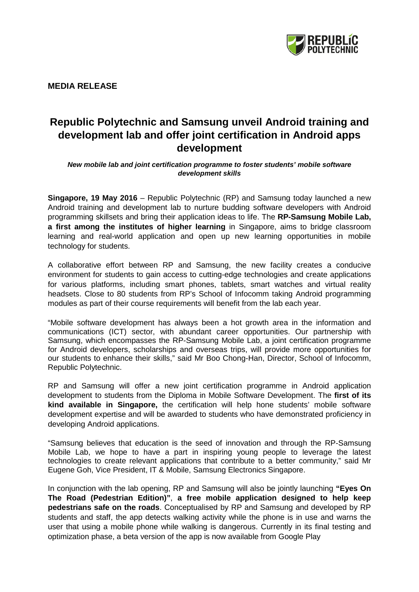

**MEDIA RELEASE** 

## **Republic Polytechnic and Samsung unveil Android training and development lab and offer joint certification in Android apps development**

## *New mobile lab and joint certification programme to foster students' mobile software development skills*

**Singapore, 19 May 2016** – Republic Polytechnic (RP) and Samsung today launched a new Android training and development lab to nurture budding software developers with Android programming skillsets and bring their application ideas to life. The **RP-Samsung Mobile Lab, a first among the institutes of higher learning** in Singapore, aims to bridge classroom learning and real-world application and open up new learning opportunities in mobile technology for students.

A collaborative effort between RP and Samsung, the new facility creates a conducive environment for students to gain access to cutting-edge technologies and create applications for various platforms, including smart phones, tablets, smart watches and virtual reality headsets. Close to 80 students from RP's School of Infocomm taking Android programming modules as part of their course requirements will benefit from the lab each year.

"Mobile software development has always been a hot growth area in the information and communications (ICT) sector, with abundant career opportunities. Our partnership with Samsung, which encompasses the RP-Samsung Mobile Lab, a joint certification programme for Android developers, scholarships and overseas trips, will provide more opportunities for our students to enhance their skills," said Mr Boo Chong-Han, Director, School of Infocomm, Republic Polytechnic.

RP and Samsung will offer a new joint certification programme in Android application development to students from the Diploma in Mobile Software Development. The **first of its kind available in Singapore,** the certification will help hone students' mobile software development expertise and will be awarded to students who have demonstrated proficiency in developing Android applications.

"Samsung believes that education is the seed of innovation and through the RP-Samsung Mobile Lab, we hope to have a part in inspiring young people to leverage the latest technologies to create relevant applications that contribute to a better community," said Mr Eugene Goh, Vice President, IT & Mobile, Samsung Electronics Singapore.

In conjunction with the lab opening, RP and Samsung will also be jointly launching **"Eyes On The Road (Pedestrian Edition)"**, **a free mobile application designed to help keep pedestrians safe on the roads**. Conceptualised by RP and Samsung and developed by RP students and staff, the app detects walking activity while the phone is in use and warns the user that using a mobile phone while walking is dangerous. Currently in its final testing and optimization phase, a beta version of the app is now available from Google Play